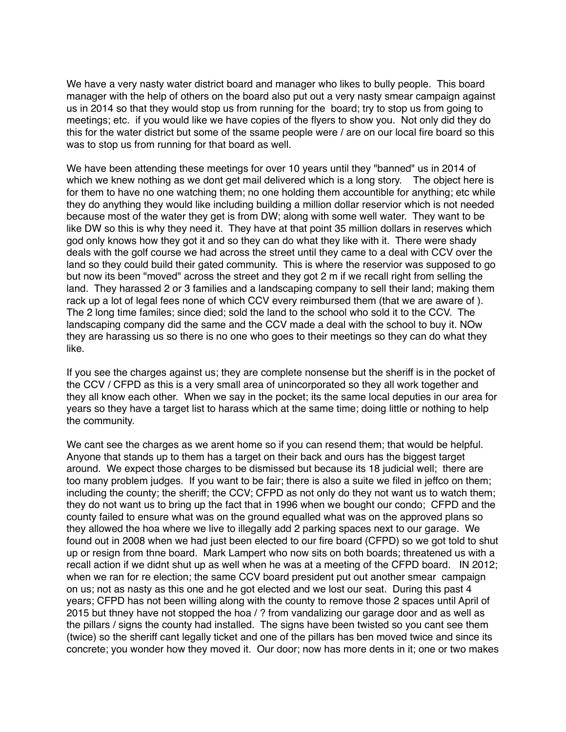We have a very nasty water district board and manager who likes to bully people. This board manager with the help of others on the board also put out a very nasty smear campaign against us in 2014 so that they would stop us from running for the board; try to stop us from going to meetings; etc. if you would like we have copies of the flyers to show you. Not only did they do this for the water district but some of the ssame people were / are on our local fire board so this was to stop us from running for that board as well.

We have been attending these meetings for over 10 years until they "banned" us in 2014 of which we knew nothing as we dont get mail delivered which is a long story. The object here is for them to have no one watching them; no one holding them accountible for anything; etc while they do anything they would like including building a million dollar reservior which is not needed because most of the water they get is from DW; along with some well water. They want to be like DW so this is why they need it. They have at that point 35 million dollars in reserves which god only knows how they got it and so they can do what they like with it. There were shady deals with the golf course we had across the street until they came to a deal with CCV over the land so they could build their gated community. This is where the reservior was supposed to go but now its been "moved" across the street and they got 2 m if we recall right from selling the land. They harassed 2 or 3 families and a landscaping company to sell their land; making them rack up a lot of legal fees none of which CCV every reimbursed them (that we are aware of ). The 2 long time familes; since died; sold the land to the school who sold it to the CCV. The landscaping company did the same and the CCV made a deal with the school to buy it. NOw they are harassing us so there is no one who goes to their meetings so they can do what they like.

If you see the charges against us; they are complete nonsense but the sheriff is in the pocket of the CCV / CFPD as this is a very small area of unincorporated so they all work together and they all know each other. When we say in the pocket; its the same local deputies in our area for years so they have a target list to harass which at the same time; doing little or nothing to help the community.

We cant see the charges as we arent home so if you can resend them; that would be helpful. Anyone that stands up to them has a target on their back and ours has the biggest target around. We expect those charges to be dismissed but because its 18 judicial well; there are too many problem judges. If you want to be fair; there is also a suite we filed in jeffco on them; including the county; the sheriff; the CCV; CFPD as not only do they not want us to watch them; they do not want us to bring up the fact that in 1996 when we bought our condo; CFPD and the county failed to ensure what was on the ground equalled what was on the approved plans so they allowed the hoa where we live to illegally add 2 parking spaces next to our garage. We found out in 2008 when we had just been elected to our fire board (CFPD) so we got told to shut up or resign from thne board. Mark Lampert who now sits on both boards; threatened us with a recall action if we didnt shut up as well when he was at a meeting of the CFPD board. IN 2012; when we ran for re election; the same CCV board president put out another smear campaign on us; not as nasty as this one and he got elected and we lost our seat. During this past 4 years; CFPD has not been willing along with the county to remove those 2 spaces until April of 2015 but thney have not stopped the hoa / ? from vandalizing our garage door and as well as the pillars / signs the county had installed. The signs have been twisted so you cant see them (twice) so the sheriff cant legally ticket and one of the pillars has ben moved twice and since its concrete; you wonder how they moved it. Our door; now has more dents in it; one or two makes